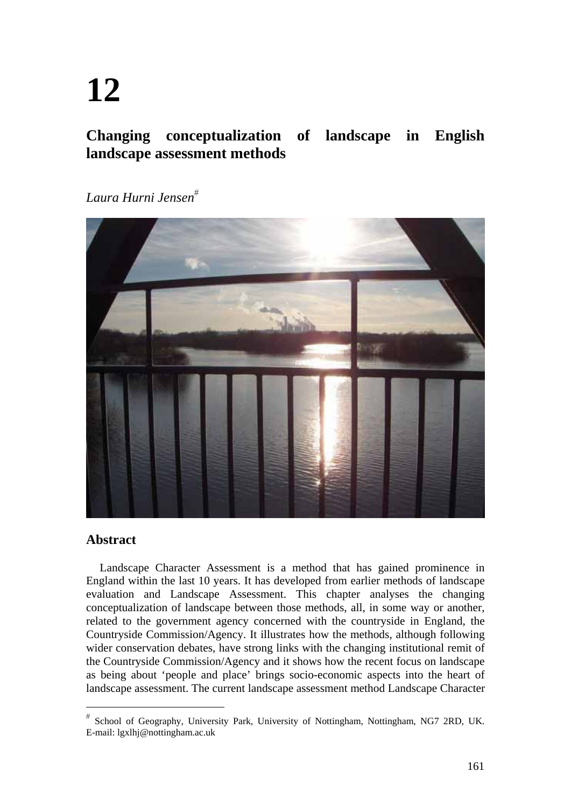# **12**

# **Changing conceptualization of landscape in English landscape assessment methods**

*Laura Hurni Jensen*



#### **Abstract**

Landscape Character Assessment is a method that has gained prominence in England within the last 10 years. It has developed from earlier methods of landscape evaluation and Landscape Assessment. This chapter analyses the changing conceptualization of landscape between those methods, all, in some way or another, related to the government agency concerned with the countryside in England, the Countryside Commission/Agency. It illustrates how the methods, although following wider conservation debates, have strong links with the changing institutional remit of the Countryside Commission/Agency and it shows how the recent focus on landscape as being about 'people and place' brings socio-economic aspects into the heart of landscape assessment. The current landscape assessment method Landscape Character

School of Geography, University Park, University of Nottingham, Nottingham, NG7 2RD, UK. E-mail: lgxlhj@nottingham.ac.uk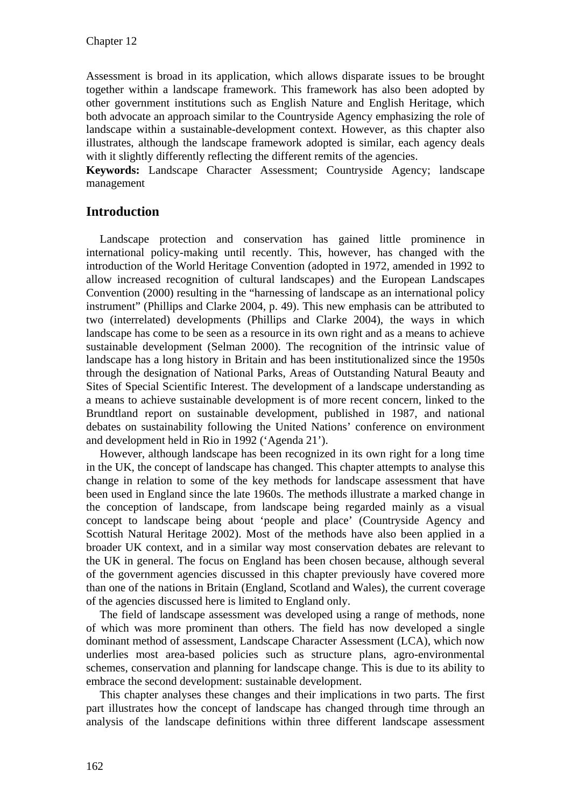Assessment is broad in its application, which allows disparate issues to be brought together within a landscape framework. This framework has also been adopted by other government institutions such as English Nature and English Heritage, which both advocate an approach similar to the Countryside Agency emphasizing the role of landscape within a sustainable-development context. However, as this chapter also illustrates, although the landscape framework adopted is similar, each agency deals with it slightly differently reflecting the different remits of the agencies.

**Keywords:** Landscape Character Assessment; Countryside Agency; landscape management

# **Introduction**

Landscape protection and conservation has gained little prominence in international policy-making until recently. This, however, has changed with the introduction of the World Heritage Convention (adopted in 1972, amended in 1992 to allow increased recognition of cultural landscapes) and the European Landscapes Convention (2000) resulting in the "harnessing of landscape as an international policy instrument" (Phillips and Clarke 2004, p. 49). This new emphasis can be attributed to two (interrelated) developments (Phillips and Clarke 2004), the ways in which landscape has come to be seen as a resource in its own right and as a means to achieve sustainable development (Selman 2000). The recognition of the intrinsic value of landscape has a long history in Britain and has been institutionalized since the 1950s through the designation of National Parks, Areas of Outstanding Natural Beauty and Sites of Special Scientific Interest. The development of a landscape understanding as a means to achieve sustainable development is of more recent concern, linked to the Brundtland report on sustainable development, published in 1987, and national debates on sustainability following the United Nations' conference on environment and development held in Rio in 1992 ('Agenda 21').

However, although landscape has been recognized in its own right for a long time in the UK, the concept of landscape has changed. This chapter attempts to analyse this change in relation to some of the key methods for landscape assessment that have been used in England since the late 1960s. The methods illustrate a marked change in the conception of landscape, from landscape being regarded mainly as a visual concept to landscape being about 'people and place' (Countryside Agency and Scottish Natural Heritage 2002). Most of the methods have also been applied in a broader UK context, and in a similar way most conservation debates are relevant to the UK in general. The focus on England has been chosen because, although several of the government agencies discussed in this chapter previously have covered more than one of the nations in Britain (England, Scotland and Wales), the current coverage of the agencies discussed here is limited to England only.

The field of landscape assessment was developed using a range of methods, none of which was more prominent than others. The field has now developed a single dominant method of assessment, Landscape Character Assessment (LCA), which now underlies most area-based policies such as structure plans, agro-environmental schemes, conservation and planning for landscape change. This is due to its ability to embrace the second development: sustainable development.

This chapter analyses these changes and their implications in two parts. The first part illustrates how the concept of landscape has changed through time through an analysis of the landscape definitions within three different landscape assessment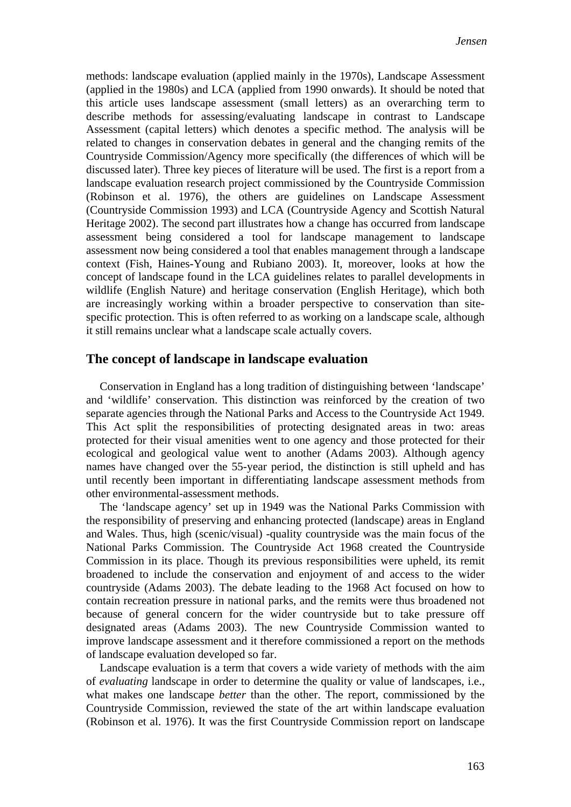methods: landscape evaluation (applied mainly in the 1970s), Landscape Assessment (applied in the 1980s) and LCA (applied from 1990 onwards). It should be noted that this article uses landscape assessment (small letters) as an overarching term to describe methods for assessing/evaluating landscape in contrast to Landscape Assessment (capital letters) which denotes a specific method. The analysis will be related to changes in conservation debates in general and the changing remits of the Countryside Commission/Agency more specifically (the differences of which will be discussed later). Three key pieces of literature will be used. The first is a report from a landscape evaluation research project commissioned by the Countryside Commission (Robinson et al. 1976), the others are guidelines on Landscape Assessment (Countryside Commission 1993) and LCA (Countryside Agency and Scottish Natural Heritage 2002). The second part illustrates how a change has occurred from landscape assessment being considered a tool for landscape management to landscape assessment now being considered a tool that enables management through a landscape context (Fish, Haines-Young and Rubiano 2003). It, moreover, looks at how the concept of landscape found in the LCA guidelines relates to parallel developments in wildlife (English Nature) and heritage conservation (English Heritage), which both are increasingly working within a broader perspective to conservation than sitespecific protection. This is often referred to as working on a landscape scale, although it still remains unclear what a landscape scale actually covers.

#### **The concept of landscape in landscape evaluation**

Conservation in England has a long tradition of distinguishing between 'landscape' and 'wildlife' conservation. This distinction was reinforced by the creation of two separate agencies through the National Parks and Access to the Countryside Act 1949. This Act split the responsibilities of protecting designated areas in two: areas protected for their visual amenities went to one agency and those protected for their ecological and geological value went to another (Adams 2003). Although agency names have changed over the 55-year period, the distinction is still upheld and has until recently been important in differentiating landscape assessment methods from other environmental-assessment methods.

The 'landscape agency' set up in 1949 was the National Parks Commission with the responsibility of preserving and enhancing protected (landscape) areas in England and Wales. Thus, high (scenic/visual) -quality countryside was the main focus of the National Parks Commission. The Countryside Act 1968 created the Countryside Commission in its place. Though its previous responsibilities were upheld, its remit broadened to include the conservation and enjoyment of and access to the wider countryside (Adams 2003). The debate leading to the 1968 Act focused on how to contain recreation pressure in national parks, and the remits were thus broadened not because of general concern for the wider countryside but to take pressure off designated areas (Adams 2003). The new Countryside Commission wanted to improve landscape assessment and it therefore commissioned a report on the methods of landscape evaluation developed so far.

Landscape evaluation is a term that covers a wide variety of methods with the aim of *evaluating* landscape in order to determine the quality or value of landscapes, i.e., what makes one landscape *better* than the other. The report, commissioned by the Countryside Commission, reviewed the state of the art within landscape evaluation (Robinson et al. 1976). It was the first Countryside Commission report on landscape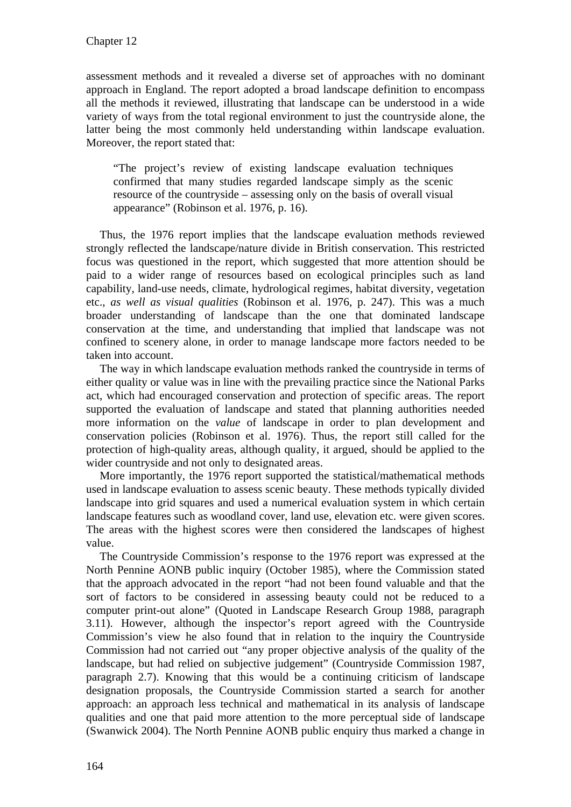assessment methods and it revealed a diverse set of approaches with no dominant approach in England. The report adopted a broad landscape definition to encompass all the methods it reviewed, illustrating that landscape can be understood in a wide variety of ways from the total regional environment to just the countryside alone, the latter being the most commonly held understanding within landscape evaluation. Moreover, the report stated that:

"The project's review of existing landscape evaluation techniques confirmed that many studies regarded landscape simply as the scenic resource of the countryside – assessing only on the basis of overall visual appearance" (Robinson et al. 1976, p. 16).

Thus, the 1976 report implies that the landscape evaluation methods reviewed strongly reflected the landscape/nature divide in British conservation. This restricted focus was questioned in the report, which suggested that more attention should be paid to a wider range of resources based on ecological principles such as land capability, land-use needs, climate, hydrological regimes, habitat diversity, vegetation etc., *as well as visual qualities* (Robinson et al. 1976, p. 247). This was a much broader understanding of landscape than the one that dominated landscape conservation at the time, and understanding that implied that landscape was not confined to scenery alone, in order to manage landscape more factors needed to be taken into account.

The way in which landscape evaluation methods ranked the countryside in terms of either quality or value was in line with the prevailing practice since the National Parks act, which had encouraged conservation and protection of specific areas. The report supported the evaluation of landscape and stated that planning authorities needed more information on the *value* of landscape in order to plan development and conservation policies (Robinson et al. 1976). Thus, the report still called for the protection of high-quality areas, although quality, it argued, should be applied to the wider countryside and not only to designated areas.

More importantly, the 1976 report supported the statistical/mathematical methods used in landscape evaluation to assess scenic beauty. These methods typically divided landscape into grid squares and used a numerical evaluation system in which certain landscape features such as woodland cover, land use, elevation etc. were given scores. The areas with the highest scores were then considered the landscapes of highest value.

The Countryside Commission's response to the 1976 report was expressed at the North Pennine AONB public inquiry (October 1985), where the Commission stated that the approach advocated in the report "had not been found valuable and that the sort of factors to be considered in assessing beauty could not be reduced to a computer print-out alone" (Quoted in Landscape Research Group 1988, paragraph 3.11). However, although the inspector's report agreed with the Countryside Commission's view he also found that in relation to the inquiry the Countryside Commission had not carried out "any proper objective analysis of the quality of the landscape, but had relied on subjective judgement" (Countryside Commission 1987, paragraph 2.7). Knowing that this would be a continuing criticism of landscape designation proposals, the Countryside Commission started a search for another approach: an approach less technical and mathematical in its analysis of landscape qualities and one that paid more attention to the more perceptual side of landscape (Swanwick 2004). The North Pennine AONB public enquiry thus marked a change in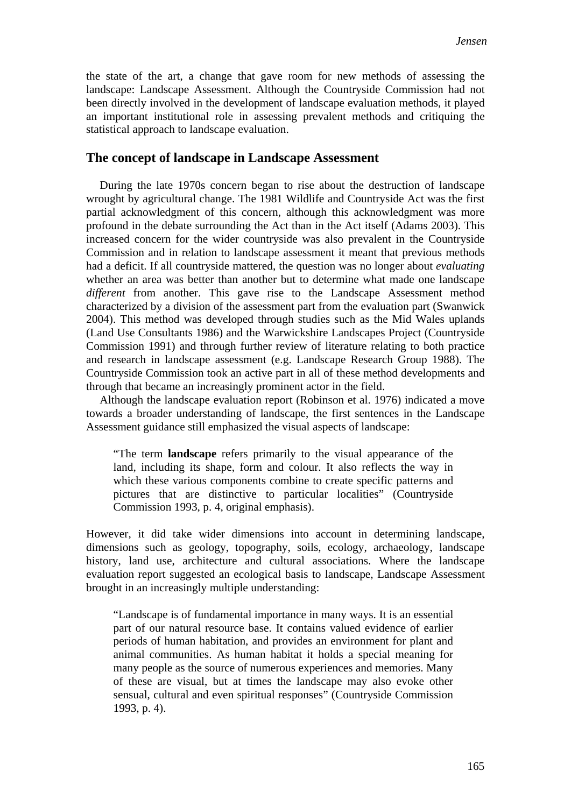the state of the art, a change that gave room for new methods of assessing the landscape: Landscape Assessment. Although the Countryside Commission had not been directly involved in the development of landscape evaluation methods, it played an important institutional role in assessing prevalent methods and critiquing the statistical approach to landscape evaluation.

#### **The concept of landscape in Landscape Assessment**

During the late 1970s concern began to rise about the destruction of landscape wrought by agricultural change. The 1981 Wildlife and Countryside Act was the first partial acknowledgment of this concern, although this acknowledgment was more profound in the debate surrounding the Act than in the Act itself (Adams 2003). This increased concern for the wider countryside was also prevalent in the Countryside Commission and in relation to landscape assessment it meant that previous methods had a deficit. If all countryside mattered, the question was no longer about *evaluating* whether an area was better than another but to determine what made one landscape *different* from another. This gave rise to the Landscape Assessment method characterized by a division of the assessment part from the evaluation part (Swanwick 2004). This method was developed through studies such as the Mid Wales uplands (Land Use Consultants 1986) and the Warwickshire Landscapes Project (Countryside Commission 1991) and through further review of literature relating to both practice and research in landscape assessment (e.g. Landscape Research Group 1988). The Countryside Commission took an active part in all of these method developments and through that became an increasingly prominent actor in the field.

Although the landscape evaluation report (Robinson et al. 1976) indicated a move towards a broader understanding of landscape, the first sentences in the Landscape Assessment guidance still emphasized the visual aspects of landscape:

"The term **landscape** refers primarily to the visual appearance of the land, including its shape, form and colour. It also reflects the way in which these various components combine to create specific patterns and pictures that are distinctive to particular localities" (Countryside Commission 1993, p. 4, original emphasis).

However, it did take wider dimensions into account in determining landscape, dimensions such as geology, topography, soils, ecology, archaeology, landscape history, land use, architecture and cultural associations. Where the landscape evaluation report suggested an ecological basis to landscape, Landscape Assessment brought in an increasingly multiple understanding:

"Landscape is of fundamental importance in many ways. It is an essential part of our natural resource base. It contains valued evidence of earlier periods of human habitation, and provides an environment for plant and animal communities. As human habitat it holds a special meaning for many people as the source of numerous experiences and memories. Many of these are visual, but at times the landscape may also evoke other sensual, cultural and even spiritual responses" (Countryside Commission 1993, p. 4).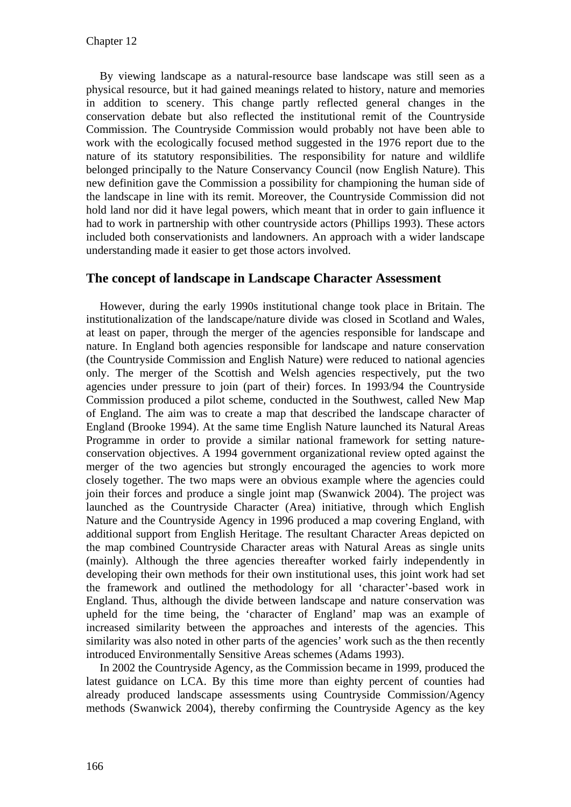By viewing landscape as a natural-resource base landscape was still seen as a physical resource, but it had gained meanings related to history, nature and memories in addition to scenery. This change partly reflected general changes in the conservation debate but also reflected the institutional remit of the Countryside Commission. The Countryside Commission would probably not have been able to work with the ecologically focused method suggested in the 1976 report due to the nature of its statutory responsibilities. The responsibility for nature and wildlife belonged principally to the Nature Conservancy Council (now English Nature). This new definition gave the Commission a possibility for championing the human side of the landscape in line with its remit. Moreover, the Countryside Commission did not hold land nor did it have legal powers, which meant that in order to gain influence it had to work in partnership with other countryside actors (Phillips 1993). These actors included both conservationists and landowners. An approach with a wider landscape understanding made it easier to get those actors involved.

### **The concept of landscape in Landscape Character Assessment**

However, during the early 1990s institutional change took place in Britain. The institutionalization of the landscape/nature divide was closed in Scotland and Wales, at least on paper, through the merger of the agencies responsible for landscape and nature. In England both agencies responsible for landscape and nature conservation (the Countryside Commission and English Nature) were reduced to national agencies only. The merger of the Scottish and Welsh agencies respectively, put the two agencies under pressure to join (part of their) forces. In 1993/94 the Countryside Commission produced a pilot scheme, conducted in the Southwest, called New Map of England. The aim was to create a map that described the landscape character of England (Brooke 1994). At the same time English Nature launched its Natural Areas Programme in order to provide a similar national framework for setting natureconservation objectives. A 1994 government organizational review opted against the merger of the two agencies but strongly encouraged the agencies to work more closely together. The two maps were an obvious example where the agencies could join their forces and produce a single joint map (Swanwick 2004). The project was launched as the Countryside Character (Area) initiative, through which English Nature and the Countryside Agency in 1996 produced a map covering England, with additional support from English Heritage. The resultant Character Areas depicted on the map combined Countryside Character areas with Natural Areas as single units (mainly). Although the three agencies thereafter worked fairly independently in developing their own methods for their own institutional uses, this joint work had set the framework and outlined the methodology for all 'character'-based work in England. Thus, although the divide between landscape and nature conservation was upheld for the time being, the 'character of England' map was an example of increased similarity between the approaches and interests of the agencies. This similarity was also noted in other parts of the agencies' work such as the then recently introduced Environmentally Sensitive Areas schemes (Adams 1993).

In 2002 the Countryside Agency, as the Commission became in 1999, produced the latest guidance on LCA. By this time more than eighty percent of counties had already produced landscape assessments using Countryside Commission/Agency methods (Swanwick 2004), thereby confirming the Countryside Agency as the key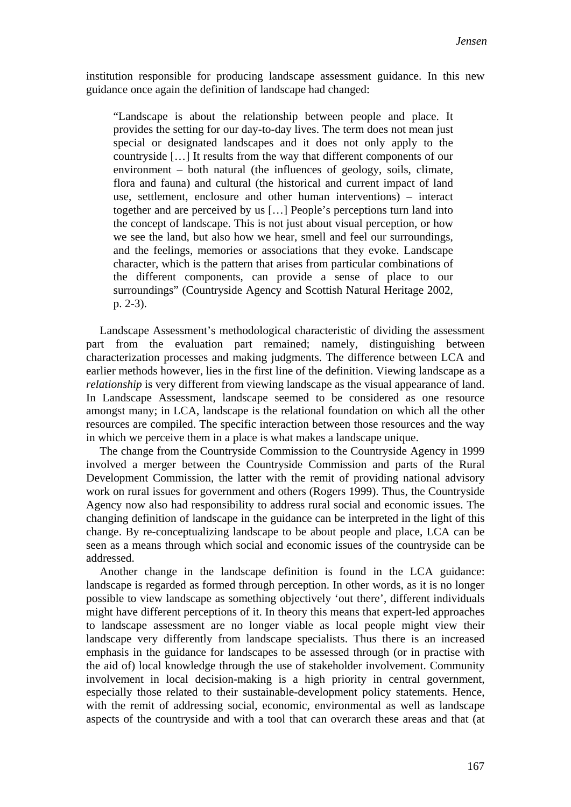institution responsible for producing landscape assessment guidance. In this new guidance once again the definition of landscape had changed:

"Landscape is about the relationship between people and place. It provides the setting for our day-to-day lives. The term does not mean just special or designated landscapes and it does not only apply to the countryside […] It results from the way that different components of our environment – both natural (the influences of geology, soils, climate, flora and fauna) and cultural (the historical and current impact of land use, settlement, enclosure and other human interventions) – interact together and are perceived by us […] People's perceptions turn land into the concept of landscape. This is not just about visual perception, or how we see the land, but also how we hear, smell and feel our surroundings, and the feelings, memories or associations that they evoke. Landscape character, which is the pattern that arises from particular combinations of the different components, can provide a sense of place to our surroundings" (Countryside Agency and Scottish Natural Heritage 2002, p. 2-3).

Landscape Assessment's methodological characteristic of dividing the assessment part from the evaluation part remained; namely, distinguishing between characterization processes and making judgments. The difference between LCA and earlier methods however, lies in the first line of the definition. Viewing landscape as a *relationship* is very different from viewing landscape as the visual appearance of land. In Landscape Assessment, landscape seemed to be considered as one resource amongst many; in LCA, landscape is the relational foundation on which all the other resources are compiled. The specific interaction between those resources and the way in which we perceive them in a place is what makes a landscape unique.

The change from the Countryside Commission to the Countryside Agency in 1999 involved a merger between the Countryside Commission and parts of the Rural Development Commission, the latter with the remit of providing national advisory work on rural issues for government and others (Rogers 1999). Thus, the Countryside Agency now also had responsibility to address rural social and economic issues. The changing definition of landscape in the guidance can be interpreted in the light of this change. By re-conceptualizing landscape to be about people and place, LCA can be seen as a means through which social and economic issues of the countryside can be addressed.

Another change in the landscape definition is found in the LCA guidance: landscape is regarded as formed through perception. In other words, as it is no longer possible to view landscape as something objectively 'out there', different individuals might have different perceptions of it. In theory this means that expert-led approaches to landscape assessment are no longer viable as local people might view their landscape very differently from landscape specialists. Thus there is an increased emphasis in the guidance for landscapes to be assessed through (or in practise with the aid of) local knowledge through the use of stakeholder involvement. Community involvement in local decision-making is a high priority in central government, especially those related to their sustainable-development policy statements. Hence, with the remit of addressing social, economic, environmental as well as landscape aspects of the countryside and with a tool that can overarch these areas and that (at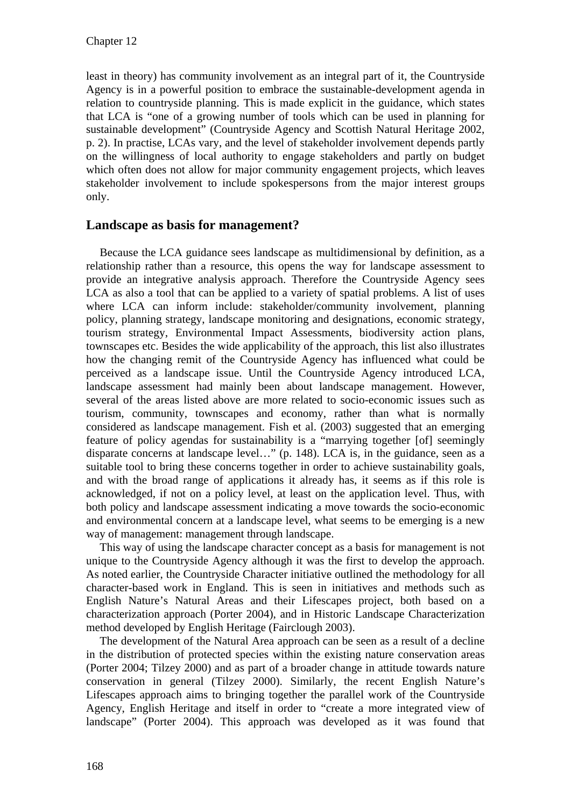least in theory) has community involvement as an integral part of it, the Countryside Agency is in a powerful position to embrace the sustainable-development agenda in relation to countryside planning. This is made explicit in the guidance, which states that LCA is "one of a growing number of tools which can be used in planning for sustainable development" (Countryside Agency and Scottish Natural Heritage 2002, p. 2). In practise, LCAs vary, and the level of stakeholder involvement depends partly on the willingness of local authority to engage stakeholders and partly on budget which often does not allow for major community engagement projects, which leaves stakeholder involvement to include spokespersons from the major interest groups only.

#### **Landscape as basis for management?**

Because the LCA guidance sees landscape as multidimensional by definition, as a relationship rather than a resource, this opens the way for landscape assessment to provide an integrative analysis approach. Therefore the Countryside Agency sees LCA as also a tool that can be applied to a variety of spatial problems. A list of uses where LCA can inform include: stakeholder/community involvement, planning policy, planning strategy, landscape monitoring and designations, economic strategy, tourism strategy, Environmental Impact Assessments, biodiversity action plans, townscapes etc. Besides the wide applicability of the approach, this list also illustrates how the changing remit of the Countryside Agency has influenced what could be perceived as a landscape issue. Until the Countryside Agency introduced LCA, landscape assessment had mainly been about landscape management. However, several of the areas listed above are more related to socio-economic issues such as tourism, community, townscapes and economy, rather than what is normally considered as landscape management. Fish et al. (2003) suggested that an emerging feature of policy agendas for sustainability is a "marrying together [of] seemingly disparate concerns at landscape level…" (p. 148). LCA is, in the guidance, seen as a suitable tool to bring these concerns together in order to achieve sustainability goals, and with the broad range of applications it already has, it seems as if this role is acknowledged, if not on a policy level, at least on the application level. Thus, with both policy and landscape assessment indicating a move towards the socio-economic and environmental concern at a landscape level, what seems to be emerging is a new way of management: management through landscape.

This way of using the landscape character concept as a basis for management is not unique to the Countryside Agency although it was the first to develop the approach. As noted earlier, the Countryside Character initiative outlined the methodology for all character-based work in England. This is seen in initiatives and methods such as English Nature's Natural Areas and their Lifescapes project, both based on a characterization approach (Porter 2004), and in Historic Landscape Characterization method developed by English Heritage (Fairclough 2003).

The development of the Natural Area approach can be seen as a result of a decline in the distribution of protected species within the existing nature conservation areas (Porter 2004; Tilzey 2000) and as part of a broader change in attitude towards nature conservation in general (Tilzey 2000). Similarly, the recent English Nature's Lifescapes approach aims to bringing together the parallel work of the Countryside Agency, English Heritage and itself in order to "create a more integrated view of landscape" (Porter 2004). This approach was developed as it was found that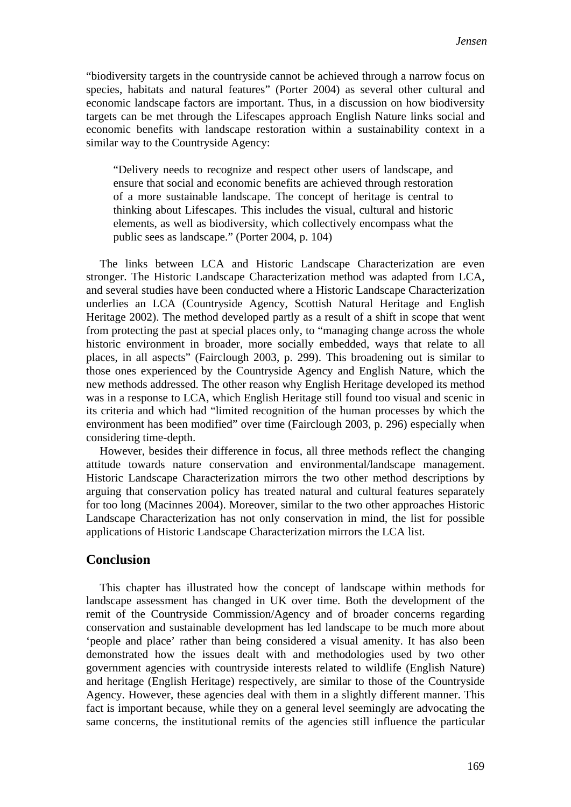"biodiversity targets in the countryside cannot be achieved through a narrow focus on species, habitats and natural features" (Porter 2004) as several other cultural and economic landscape factors are important. Thus, in a discussion on how biodiversity targets can be met through the Lifescapes approach English Nature links social and economic benefits with landscape restoration within a sustainability context in a similar way to the Countryside Agency:

"Delivery needs to recognize and respect other users of landscape, and ensure that social and economic benefits are achieved through restoration of a more sustainable landscape. The concept of heritage is central to thinking about Lifescapes. This includes the visual, cultural and historic elements, as well as biodiversity, which collectively encompass what the public sees as landscape." (Porter 2004, p. 104)

The links between LCA and Historic Landscape Characterization are even stronger. The Historic Landscape Characterization method was adapted from LCA, and several studies have been conducted where a Historic Landscape Characterization underlies an LCA (Countryside Agency, Scottish Natural Heritage and English Heritage 2002). The method developed partly as a result of a shift in scope that went from protecting the past at special places only, to "managing change across the whole historic environment in broader, more socially embedded, ways that relate to all places, in all aspects" (Fairclough 2003, p. 299). This broadening out is similar to those ones experienced by the Countryside Agency and English Nature, which the new methods addressed. The other reason why English Heritage developed its method was in a response to LCA, which English Heritage still found too visual and scenic in its criteria and which had "limited recognition of the human processes by which the environment has been modified" over time (Fairclough 2003, p. 296) especially when considering time-depth.

However, besides their difference in focus, all three methods reflect the changing attitude towards nature conservation and environmental/landscape management. Historic Landscape Characterization mirrors the two other method descriptions by arguing that conservation policy has treated natural and cultural features separately for too long (Macinnes 2004). Moreover, similar to the two other approaches Historic Landscape Characterization has not only conservation in mind, the list for possible applications of Historic Landscape Characterization mirrors the LCA list.

#### **Conclusion**

This chapter has illustrated how the concept of landscape within methods for landscape assessment has changed in UK over time. Both the development of the remit of the Countryside Commission/Agency and of broader concerns regarding conservation and sustainable development has led landscape to be much more about 'people and place' rather than being considered a visual amenity. It has also been demonstrated how the issues dealt with and methodologies used by two other government agencies with countryside interests related to wildlife (English Nature) and heritage (English Heritage) respectively, are similar to those of the Countryside Agency. However, these agencies deal with them in a slightly different manner. This fact is important because, while they on a general level seemingly are advocating the same concerns, the institutional remits of the agencies still influence the particular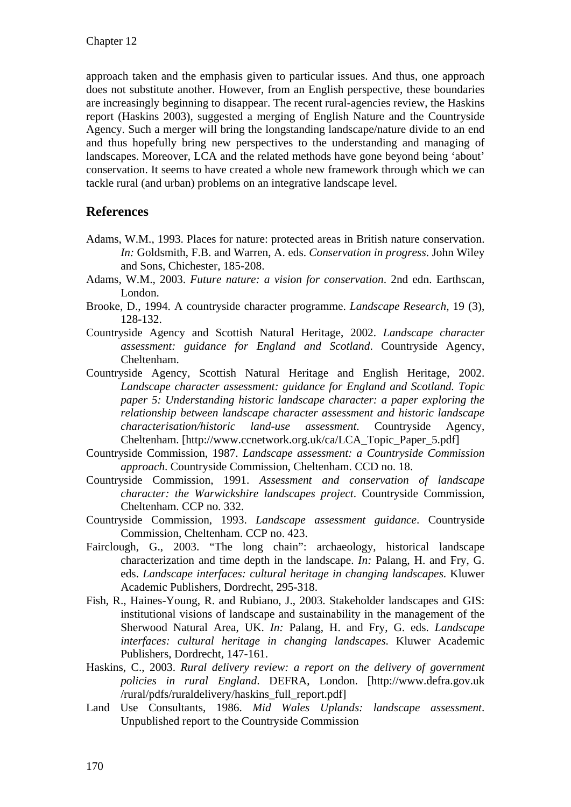approach taken and the emphasis given to particular issues. And thus, one approach does not substitute another. However, from an English perspective, these boundaries are increasingly beginning to disappear. The recent rural-agencies review, the Haskins report (Haskins 2003), suggested a merging of English Nature and the Countryside Agency. Such a merger will bring the longstanding landscape/nature divide to an end and thus hopefully bring new perspectives to the understanding and managing of landscapes. Moreover, LCA and the related methods have gone beyond being 'about' conservation. It seems to have created a whole new framework through which we can tackle rural (and urban) problems on an integrative landscape level.

## **References**

- Adams, W.M., 1993. Places for nature: protected areas in British nature conservation. *In:* Goldsmith, F.B. and Warren, A. eds. *Conservation in progress*. John Wiley and Sons, Chichester, 185-208.
- Adams, W.M., 2003. *Future nature: a vision for conservation*. 2nd edn. Earthscan, London.
- Brooke, D., 1994. A countryside character programme. *Landscape Research,* 19 (3), 128-132.
- Countryside Agency and Scottish Natural Heritage, 2002. *Landscape character assessment: guidance for England and Scotland*. Countryside Agency, Cheltenham.
- Countryside Agency, Scottish Natural Heritage and English Heritage, 2002. *Landscape character assessment: guidance for England and Scotland. Topic paper 5: Understanding historic landscape character: a paper exploring the relationship between landscape character assessment and historic landscape characterisation/historic land-use assessment*. Countryside Agency, Cheltenham. [http://www.ccnetwork.org.uk/ca/LCA\_Topic\_Paper\_5.pdf]
- Countryside Commission, 1987. *Landscape assessment: a Countryside Commission approach*. Countryside Commission, Cheltenham. CCD no. 18.
- Countryside Commission, 1991. *Assessment and conservation of landscape character: the Warwickshire landscapes project*. Countryside Commission, Cheltenham. CCP no. 332.
- Countryside Commission, 1993. *Landscape assessment guidance*. Countryside Commission, Cheltenham. CCP no. 423.
- Fairclough, G., 2003. "The long chain": archaeology, historical landscape characterization and time depth in the landscape. *In:* Palang, H. and Fry, G. eds. *Landscape interfaces: cultural heritage in changing landscapes*. Kluwer Academic Publishers, Dordrecht, 295-318.
- Fish, R., Haines-Young, R. and Rubiano, J., 2003. Stakeholder landscapes and GIS: institutional visions of landscape and sustainability in the management of the Sherwood Natural Area, UK. *In:* Palang, H. and Fry, G. eds. *Landscape interfaces: cultural heritage in changing landscapes*. Kluwer Academic Publishers, Dordrecht, 147-161.
- Haskins, C., 2003. *Rural delivery review: a report on the delivery of government policies in rural England*. DEFRA, London. [http://www.defra.gov.uk /rural/pdfs/ruraldelivery/haskins\_full\_report.pdf]
- Land Use Consultants, 1986. *Mid Wales Uplands: landscape assessment*. Unpublished report to the Countryside Commission